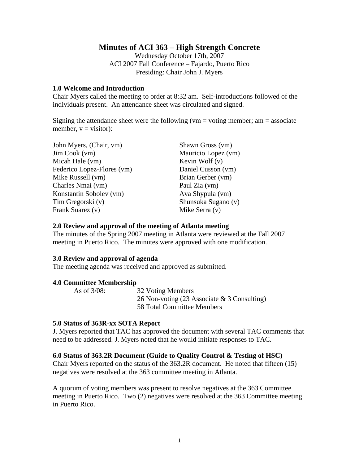# **Minutes of ACI 363 – High Strength Concrete**

Wednesday October 17th, 2007 ACI 2007 Fall Conference – Fajardo, Puerto Rico Presiding: Chair John J. Myers

## **1.0 Welcome and Introduction**

Chair Myers called the meeting to order at 8:32 am. Self-introductions followed of the individuals present. An attendance sheet was circulated and signed.

Signing the attendance sheet were the following ( $vm =$  voting member; am  $=$  associate member,  $v = v$ isitor):

| John Myers, (Chair, vm)    | Shawn Gross (vm)    |
|----------------------------|---------------------|
| Jim Cook (vm)              | Mauricio Lopez (vm) |
| Micah Hale (vm)            | Kevin Wolf $(v)$    |
| Federico Lopez-Flores (vm) | Daniel Cusson (vm)  |
| Mike Russell (vm)          | Brian Gerber (vm)   |
| Charles Nmai (vm)          | Paul Zia (vm)       |
| Konstantin Sobolev (vm)    | Ava Shypula (vm)    |
| Tim Gregorski (v)          | Shunsuka Sugano (v) |
| Frank Suarez (v)           | Mike Serra (v)      |

## **2.0 Review and approval of the meeting of Atlanta meeting**

The minutes of the Spring 2007 meeting in Atlanta were reviewed at the Fall 2007 meeting in Puerto Rico. The minutes were approved with one modification.

## **3.0 Review and approval of agenda**

The meeting agenda was received and approved as submitted.

### **4.0 Committee Membership**

As of 3/08: 32 Voting Members 26 Non-voting (23 Associate & 3 Consulting) 58 Total Committee Members

### **5.0 Status of 363R-xx SOTA Report**

J. Myers reported that TAC has approved the document with several TAC comments that need to be addressed. J. Myers noted that he would initiate responses to TAC.

## **6.0 Status of 363.2R Document (Guide to Quality Control & Testing of HSC)**

Chair Myers reported on the status of the 363.2R document. He noted that fifteen (15) negatives were resolved at the 363 committee meeting in Atlanta.

A quorum of voting members was present to resolve negatives at the 363 Committee meeting in Puerto Rico. Two (2) negatives were resolved at the 363 Committee meeting in Puerto Rico.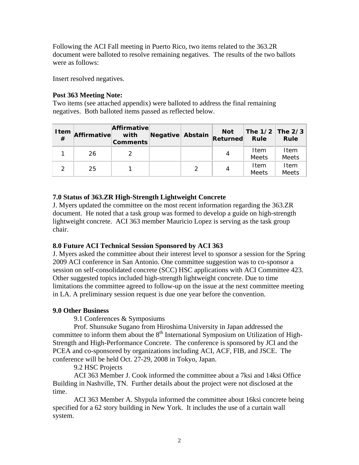Following the ACI Fall meeting in Puerto Rico, two items related to the 363.2R document were balloted to resolve remaining negatives. The results of the two ballots were as follows:

Insert resolved negatives.

## **Post 363 Meeting Note:**

Two items (see attached appendix) were balloted to address the final remaining negatives. Both balloted items passed as reflected below.

| <b>Item</b><br># | Affirmative | Affirmative<br>with<br><b>Comments</b> | Negative Abstain |   | <b>Not</b><br>Returned | The $1/2$ The $2/3$<br><b>Rule</b> | <b>Rule</b>          |
|------------------|-------------|----------------------------------------|------------------|---|------------------------|------------------------------------|----------------------|
|                  | 26          |                                        |                  |   | 4                      | Item<br>Meets                      | Item<br>Meets        |
| っ                | 25          |                                        |                  | っ | 4                      | Item<br><b>Meets</b>               | Item<br><b>Meets</b> |

# **7.0 Status of 363.ZR High-Strength Lightweight Concrete**

J. Myers updated the committee on the most recent information regarding the 363.ZR document. He noted that a task group was formed to develop a guide on high-strength lightweight concrete. ACI 363 member Mauricio Lopez is serving as the task group chair.

# **8.0 Future ACI Technical Session Sponsored by ACI 363**

J. Myers asked the committee about their interest level to sponsor a session for the Spring 2009 ACI conference in San Antonio. One committee suggestion was to co-sponsor a session on self-consolidated concrete (SCC) HSC applications with ACI Committee 423. Other suggested topics included high-strength lightweight concrete. Due to time limitations the committee agreed to follow-up on the issue at the next committee meeting in LA. A preliminary session request is due one year before the convention.

# **9.0 Other Business**

9.1 Conferences & Symposiums

 Prof. Shunsuke Sugano from Hiroshima University in Japan addressed the committee to inform them about the  $8<sup>th</sup>$  International Symposium on Utilization of High-Strength and High-Performance Concrete. The conference is sponsored by JCI and the PCEA and co-sponsored by organizations including ACI, ACF, FIB, and JSCE. The conference will be held Oct. 27-29, 2008 in Tokyo, Japan.

9.2 HSC Projects

ACI 363 Member J. Cook informed the committee about a 7ksi and 14ksi Office Building in Nashville, TN. Further details about the project were not disclosed at the time.

ACI 363 Member A. Shypula informed the committee about 16ksi concrete being specified for a 62 story building in New York. It includes the use of a curtain wall system.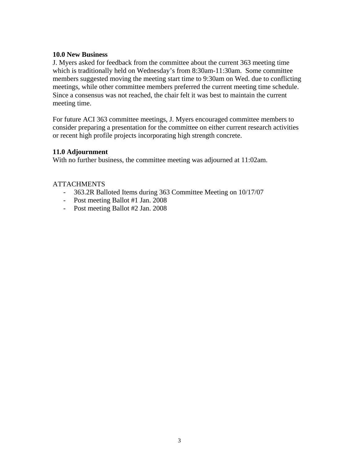## **10.0 New Business**

J. Myers asked for feedback from the committee about the current 363 meeting time which is traditionally held on Wednesday's from 8:30am-11:30am. Some committee members suggested moving the meeting start time to 9:30am on Wed. due to conflicting meetings, while other committee members preferred the current meeting time schedule. Since a consensus was not reached, the chair felt it was best to maintain the current meeting time.

For future ACI 363 committee meetings, J. Myers encouraged committee members to consider preparing a presentation for the committee on either current research activities or recent high profile projects incorporating high strength concrete.

# **11.0 Adjournment**

With no further business, the committee meeting was adjourned at 11:02am.

# **ATTACHMENTS**

- 363.2R Balloted Items during 363 Committee Meeting on 10/17/07
- Post meeting Ballot #1 Jan. 2008
- Post meeting Ballot #2 Jan. 2008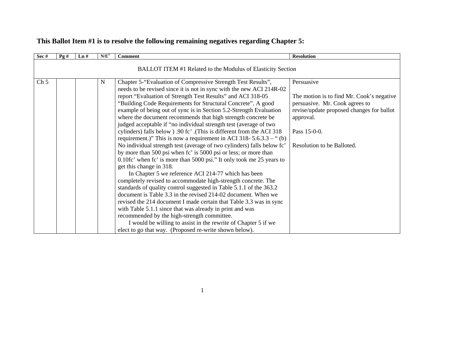| Sec#            | Pg# | $\mathbf{L} \mathbf{n}$ # | N/E <sup>1</sup> | <b>Comment</b>                                                                                                                                                                                                                                                                                                                                                                                                                                                                                                                                                                                                                                                                                                                                                                                                                                                                                                                                                                                                                                                                                                                                                                                                                                                                                                                                                                                                                                                | <b>Resolution</b>                                                                                                                                                                                 |
|-----------------|-----|---------------------------|------------------|---------------------------------------------------------------------------------------------------------------------------------------------------------------------------------------------------------------------------------------------------------------------------------------------------------------------------------------------------------------------------------------------------------------------------------------------------------------------------------------------------------------------------------------------------------------------------------------------------------------------------------------------------------------------------------------------------------------------------------------------------------------------------------------------------------------------------------------------------------------------------------------------------------------------------------------------------------------------------------------------------------------------------------------------------------------------------------------------------------------------------------------------------------------------------------------------------------------------------------------------------------------------------------------------------------------------------------------------------------------------------------------------------------------------------------------------------------------|---------------------------------------------------------------------------------------------------------------------------------------------------------------------------------------------------|
|                 |     |                           |                  | BALLOT ITEM #1 Related to the Modulus of Elasticity Section                                                                                                                                                                                                                                                                                                                                                                                                                                                                                                                                                                                                                                                                                                                                                                                                                                                                                                                                                                                                                                                                                                                                                                                                                                                                                                                                                                                                   |                                                                                                                                                                                                   |
| Ch <sub>5</sub> |     |                           | N                | Chapter 5-"Evaluation of Compressive Strength Test Results",<br>needs to be revised since it is not in sync with the new ACI 214R-02<br>report "Evaluation of Strength Test Results" and ACI 318-05<br>"Building Code Requirements for Structural Concrete". A good<br>example of being out of sync is in Section 5.2-Strength Evaluation<br>where the document recommends that high strength concrete be<br>judged acceptable if "no individual strength test (average of two<br>cylinders) falls below ) .90 fc'. (This is different from the ACI 318<br>requirement.)" This is now a requirement in ACI 318- $5.6.3.3 -$ " (b)<br>No individual strength test (average of two cylinders) falls below fc'<br>by more than 500 psi when fc' is 5000 psi or less; or more than<br>0.10fc' when fc' is more than 5000 psi." It only took me 25 years to<br>get this change in 318.<br>In Chapter 5 we reference ACI 214-77 which has been<br>completely revised to accommodate high-strength concrete. The<br>standards of quality control suggested in Table 5.1.1 of the 363.2<br>document is Table 3.3 in the revised 214-02 document. When we<br>revised the 214 document I made certain that Table 3.3 was in sync<br>with Table 5.1.1 since that was already in print and was<br>recommended by the high-strength committee.<br>I would be willing to assist in the rewrite of Chapter 5 if we<br>elect to go that way. (Proposed re-write shown below). | Persuasive<br>The motion is to find Mr. Cook's negative<br>persuasive. Mr. Cook agrees to<br>revise/update proposed changes for ballot<br>approval.<br>Pass 15-0-0.<br>Resolution to be Balloted. |

# **This Ballot Item #1 is to resolve the following remaining negatives regarding Chapter 5:**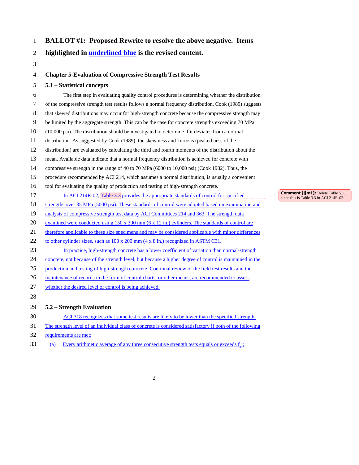## 1 **BALLOT #1: Proposed Rewrite to resolve the above negative. Items**

### 2 **highlighted in underlined blue is the revised content.**

3

#### 4 **Chapter 5-Evaluation of Compressive Strength Test Results**

#### 5 **5.1 – Statistical concepts**

6 The first step in evaluating quality control procedures is determining whether the distribution 7 of the compressive strength test results follows a normal frequency distribution. Cook (1989) suggests 8 that skewed distributions may occur for high-strength concrete because the compressive strength may 9 be limited by the aggregate strength. This can be the case for concrete strengths exceeding 70 MPa 10 (10,000 psi). The distribution should be investigated to determine if it deviates from a normal 11 distribution. As suggested by Cook (1989), the skew ness and kurtosis (peaked ness of the 12 distribution) are evaluated by calculating the third and fourth moments of the distribution about the 13 mean. Available data indicate that a normal frequency distribution is achieved for concrete with 14 compressive strength in the range of 40 to 70 MPa (6000 to 10,000 psi) (Cook 1982). Thus, the 15 procedure recommended by ACI 214, which assumes a normal distribution, is usually a convenient 16 tool for evaluating the quality of production and testing of high-strength concrete. 17 In ACI 214R-02, Table 3.3 provides the appropriate standards of control for specified 18 strengths over 35 MPa (5000 psi). These standards of control were adopted based on examination and 19 analysis of compressive strength test data by ACI Committees 214 and 363. The strength data 20 examined were conducted using 150 x 300 mm (6 x 12 in.) cylinders. The standards of control are 21 therefore applicable to these size specimens and may be considered applicable with minor differences 22 to other cylinder sizes, such as  $100 \times 200$  mm (4 x 8 in.) recognized in ASTM C31. 23 In practice, high-strength concrete has a lower coefficient of variation than normal-strength 24 concrete, not because of the strength level, but because a higher degree of control is maintained in the 25 production and testing of high-strength concrete. Continual review of the field test results and the 26 maintenance of records in the form of control charts, or other means, are recommended to assess 27 whether the desired level of control is being achieved. 28

## 29 **5.2 – Strength Evaluation**

- 30 ACI 318 recognizes that some test results are likely to be lower than the specified strength.
- 31 The strength level of an individual class of concrete is considered satisfactory if both of the following
- 32 requirements are met:
- 33 (a) Every arithmetic average of any three consecutive strength tests equals or exceeds  $f_c$ ;

**Comment [jjm1]:** Delete Table 5.1.1 since this is Table 3.3 in ACI 214R-02.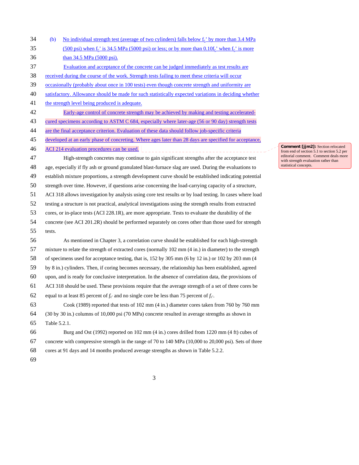| 34 | (b)          | No individual strength test (average of two cylinders) falls below f <sub>c</sub> ' by more than 3.4 MPa     |
|----|--------------|--------------------------------------------------------------------------------------------------------------|
| 35 |              | $(500 \text{ psi})$ when $f_c$ is 34.5 MPa (5000 psi) or less; or by more than 0.10 $f_c$ when $f_c$ is more |
| 36 |              | than 34.5 MPa (5000 psi).                                                                                    |
| 37 |              | Evaluation and acceptance of the concrete can be judged immediately as test results are                      |
| 38 |              | received during the course of the work. Strength tests failing to meet these criteria will occur             |
| 39 |              | occasionally (probably about once in 100 tests) even though concrete strength and uniformity are             |
| 40 |              | satisfactory. Allowance should be made for such statistically expected variations in deciding whether        |
| 41 |              | the strength level being produced is adequate.                                                               |
| 42 |              | Early-age control of concrete strength may be achieved by making and testing accelerated-                    |
| 43 |              | cured specimens according to ASTM C 684, especially where later-age (56 or 90 day) strength tests            |
| 44 |              | are the final acceptance criterion. Evaluation of these data should follow job-specific criteria             |
| 45 |              | developed at an early phase of concreting. Where ages later than 28 days are specified for acceptance,       |
| 46 |              | ACI 214 evaluation procedures can be used.                                                                   |
| 47 |              | High-strength concretes may continue to gain significant strengths after the acceptance test                 |
| 48 |              | age, especially if fly ash or ground granulated blast-furnace slag are used. During the evaluations to       |
| 49 |              | establish mixture proportions, a strength development curve should be established indicating potential       |
| 50 |              | strength over time. However, if questions arise concerning the load-carrying capacity of a structure,        |
| 51 |              | ACI 318 allows investigation by analysis using core test results or by load testing. In cases where load     |
| 52 |              | testing a structure is not practical, analytical investigations using the strength results from extracted    |
| 53 |              | cores, or in-place tests (ACI 228.1R), are more appropriate. Tests to evaluate the durability of the         |
| 54 |              | concrete (see ACI 201.2R) should be performed separately on cores other than those used for strength         |
| 55 | tests.       |                                                                                                              |
| 56 |              | As mentioned in Chapter 3, a correlation curve should be established for each high-strength                  |
| 57 |              | mixture to relate the strength of extracted cores (normally 102 mm (4 in.) in diameter) to the strength      |
| 58 |              | of specimens used for acceptance testing, that is, 152 by 305 mm (6 by 12 in.) or 102 by 203 mm (4           |
| 59 |              | by 8 in.) cylinders. Then, if coring becomes necessary, the relationship has been established, agreed        |
| 60 |              | upon, and is ready for conclusive interpretation. In the absence of correlation data, the provisions of      |
| 61 |              | ACI 318 should be used. These provisions require that the average strength of a set of three cores be        |
| 62 |              | equal to at least 85 percent of $f_{c'}$ and no single core be less than 75 percent of $f_{c'}$ .            |
| 63 |              | Cook (1989) reported that tests of 102 mm (4 in.) diameter cores taken from 760 by 760 mm                    |
| 64 |              | (30 by 30 in.) columns of 10,000 psi (70 MPa) concrete resulted in average strengths as shown in             |
| 65 | Table 5.2.1. |                                                                                                              |
| 66 |              | Burg and Ost (1992) reported on 102 mm (4 in.) cores drilled from 1220 mm (4 ft) cubes of                    |
| 67 |              | concrete with compressive strength in the range of 70 to 140 MPa (10,000 to 20,000 psi). Sets of three       |
| 68 |              | cores at 91 days and 14 months produced average strengths as shown in Table 5.2.2.                           |

69

**Comment [jjm2]:** Section relocated from end of section 5.1 to section 5.2 per editorial comment. Comment deals more with strength evaluation rather than statistical concepts.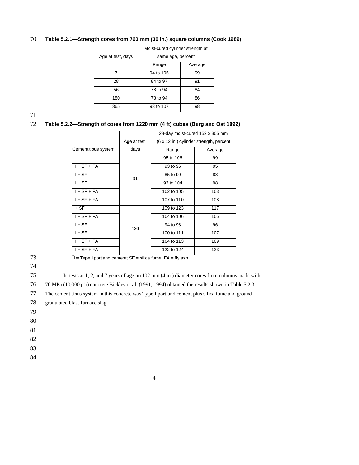### 70 **Table 5.2.1—Strength cores from 760 mm (30 in.) square columns (Cook 1989)**

|                   | Moist-cured cylinder strength at |         |  |  |
|-------------------|----------------------------------|---------|--|--|
| Age at test, days | same age, percent                |         |  |  |
|                   | Range                            | Average |  |  |
| 7                 | 94 to 105                        | 99      |  |  |
| 28                | 84 to 97                         | 91      |  |  |
| 56                | 78 to 94                         | 84      |  |  |
| 180               | 78 to 94                         | 86      |  |  |
| 365               | 93 to 107                        | 98      |  |  |

71

#### 72 **Table 5.2.2—Strength of cores from 1220 mm (4 ft) cubes (Burg and Ost 1992)**

|              | 28-day moist-cured 152 x 305 mm         |         |  |
|--------------|-----------------------------------------|---------|--|
| Age at test, | (6 x 12 in.) cylinder strength, percent |         |  |
| days         | Range                                   | Average |  |
|              | 95 to 106                               | 99      |  |
|              | 93 to 96                                | 95      |  |
|              | 85 to 90                                | 88      |  |
|              | 93 to 104                               | 98      |  |
|              | 102 to 105                              | 103     |  |
|              | 107 to 110                              | 108     |  |
|              | 109 to 123                              | 117     |  |
|              | 104 to 106                              | 105     |  |
|              | 94 to 98                                | 96      |  |
|              | 100 to 111                              | 107     |  |
|              | 104 to 113                              | 109     |  |
|              | 122 to 124                              | 123     |  |
|              | 91<br>426                               |         |  |

74

 $T = Type I$  portland cement;  $SF = silica$  fume;  $FA = fly$  ash

75 In tests at 1, 2, and 7 years of age on 102 mm (4 in.) diameter cores from columns made with

76 70 MPa (10,000 psi) concrete Bickley et al. (1991, 1994) obtained the results shown in Table 5.2.3.

|  | 77 The cementitious system in this concrete was Type I portland cement plus silica fume and ground |  |  |  |
|--|----------------------------------------------------------------------------------------------------|--|--|--|
|--|----------------------------------------------------------------------------------------------------|--|--|--|

78 granulated blast-furnace slag.

79

80

81

82

83

84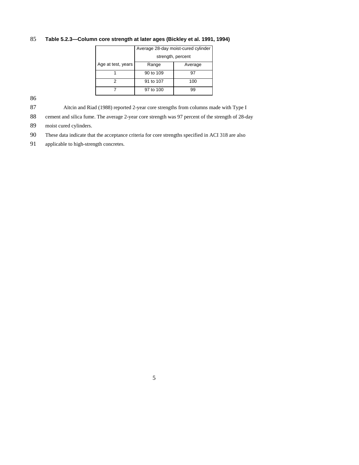#### 85 **Table 5.2.3—Column core strength at later ages (Bickley et al. 1991, 1994)**

|                    | Average 28-day moist-cured cylinder |         |  |
|--------------------|-------------------------------------|---------|--|
|                    | strength, percent                   |         |  |
| Age at test, years | Range                               | Average |  |
|                    | 90 to 109                           | 97      |  |
|                    | 91 to 107                           | 100     |  |
|                    | 97 to 100                           | 99      |  |

86

87 Aïtcin and Riad (1988) reported 2-year core strengths from columns made with Type I

88 cement and silica fume. The average 2-year core strength was 97 percent of the strength of 28-day

89 moist cured cylinders.

90 These data indicate that the acceptance criteria for core strengths specified in ACI 318 are also

91 applicable to high-strength concretes.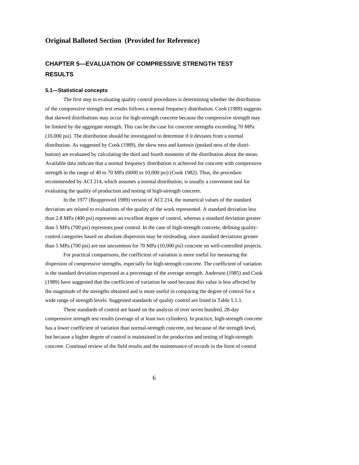#### **Original Balloted Section (Provided for Reference)**

# **CHAPTER 5—EVALUATION OF COMPRESSIVE STRENGTH TEST RESULTS**

#### **5.1—Statistical concepts**

The first step in evaluating quality control procedures is determining whether the distribution of the compressive strength test results follows a normal frequency distribution. Cook (1989) suggests that skewed distributions may occur for high-strength concrete because the compressive strength may be limited by the aggregate strength. This can be the case for concrete strengths exceeding 70 MPa (10,000 psi). The distribution should be investigated to determine if it deviates from a normal distribution. As suggested by Cook (1989), the skew ness and kurtosis (peaked ness of the distribution) are evaluated by calculating the third and fourth moments of the distribution about the mean. Available data indicate that a normal frequency distribution is achieved for concrete with compressive strength in the range of 40 to 70 MPa (6000 to 10,000 psi) (Cook 1982). Thus, the procedure recommended by ACI 214, which assumes a normal distribution, is usually a convenient tool for evaluating the quality of production and testing of high-strength concrete.

In the 1977 (Reapproved 1989) version of ACI 214, the numerical values of the standard deviation are related to evaluations of the quality of the work represented. A standard deviation less than 2.8 MPa (400 psi) represents an excellent degree of control, whereas a standard deviation greater than 5 MPa (700 psi) represents poor control. In the case of high-strength concrete, defining qualitycontrol categories based on absolute dispersion may be misleading, since standard deviations greater than 5 MPa (700 psi) are not uncommon for 70 MPa (10,000 psi) concrete on well-controlled projects.

For practical comparisons, the coefficient of variation is more useful for measuring the dispersion of compressive strengths, especially for high-strength concrete. The coefficient of variation is the standard deviation expressed as a percentage of the average strength. Anderson (1985) and Cook (1989) have suggested that the coefficient of variation be used because this value is less affected by the magnitude of the strengths obtained and is more useful in comparing the degree of control for a wide range of strength levels. Suggested standards of quality control are listed in Table 5.1.1.

These standards of control are based on the analysis of over seven hundred, 28-day compressive strength test results (average of at least two cylinders). In practice, high-strength concrete has a lower coefficient of variation than normal-strength concrete, not because of the strength level, but because a higher degree of control is maintained in the production and testing of high-strength concrete. Continual review of the field results and the maintenance of records in the form of control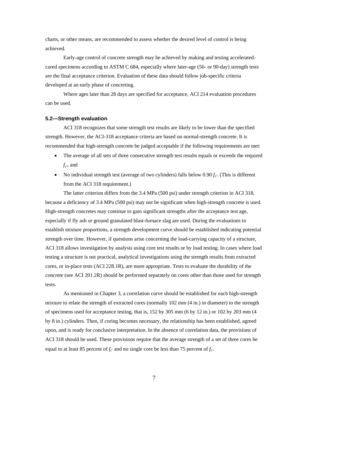charts, or other means, are recommended to assess whether the desired level of control is being achieved.

Early-age control of concrete strength may be achieved by making and testing acceleratedcured specimens according to ASTM C 684, especially where later-age (56- or 90-day) strength tests are the final acceptance criterion. Evaluation of these data should follow job-specific criteria developed at an early phase of concreting.

Where ages later than 28 days are specified for acceptance, ACI 214 evaluation procedures can be used.

#### **5.2—Strength evaluation**

ACI 318 recognizes that some strength test results are likely to be lower than the specified strength. However, the ACI-318 acceptance criteria are based on normal-strength concrete. It is recommended that high-strength concrete be judged acceptable if the following requirements are met:

- The average of all sets of three consecutive strength test results equals or exceeds the required  $f_{c'}$ , and
- No individual strength test (average of two cylinders) falls below 0.90 *f<sub>c'</sub>*. (This is different from the ACI 318 requirement.)

The latter criterion differs from the 3.4 MPa (500 psi) under strength criterion in ACI 318, because a deficiency of 3.4 MPa (500 psi) may not be significant when high-strength concrete is used. High-strength concretes may continue to gain significant strengths after the acceptance test age, especially if fly ash or ground granulated blast-furnace slag are used. During the evaluations to establish mixture proportions, a strength development curve should be established indicating potential strength over time. However, if questions arise concerning the load-carrying capacity of a structure, ACI 318 allows investigation by analysis using core test results or by load testing. In cases where load testing a structure is not practical, analytical investigations using the strength results from extracted cores, or in-place tests (ACI 228.1R), are more appropriate. Tests to evaluate the durability of the concrete (see ACI 201.2R) should be performed separately on cores other than those used for strength tests.

As mentioned in Chapter 3, a correlation curve should be established for each high-strength mixture to relate the strength of extracted cores (normally 102 mm (4 in.) in diameter) to the strength of specimens used for acceptance testing, that is, 152 by 305 mm (6 by 12 in.) or 102 by 203 mm (4 by 8 in.) cylinders. Then, if coring becomes necessary, the relationship has been established, agreed upon, and is ready for conclusive interpretation. In the absence of correlation data, the provisions of ACI 318 should be used. These provisions require that the average strength of a set of three cores be equal to at least 85 percent of  $f_c$ <sup>'</sup> and no single core be less than 75 percent of  $f_c$ <sup>'</sup>.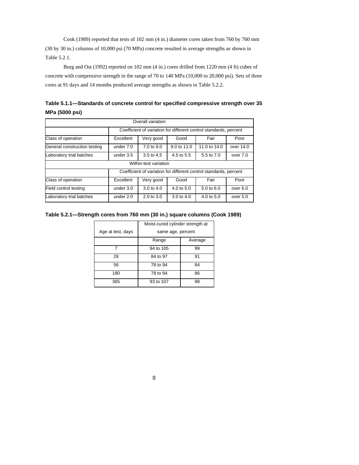Cook (1989) reported that tests of 102 mm (4 in.) diameter cores taken from 760 by 760 mm (30 by 30 in.) columns of 10,000 psi (70 MPa) concrete resulted in average strengths as shown in Table 5.2.1.

Burg and Ost (1992) reported on 102 mm (4 in.) cores drilled from 1220 mm (4 ft) cubes of concrete with compressive strength in the range of 70 to 140 MPa (10,000 to 20,000 psi). Sets of three cores at 91 days and 14 months produced average strengths as shown in Table 5.2.2.

| Table 5.1.1—Standards of concrete control for specified compressive strength over 35 |  |
|--------------------------------------------------------------------------------------|--|
| MPa (5000 psi)                                                                       |  |

| Overall variation            |                                                                   |                       |                       |                       |           |
|------------------------------|-------------------------------------------------------------------|-----------------------|-----------------------|-----------------------|-----------|
|                              | Coefficient of variation for different control standards, percent |                       |                       |                       |           |
| Class of operation           | Fair<br>Excellent<br>Very good<br>Good<br>Poor                    |                       |                       |                       |           |
| General construction testing | under 7.0                                                         | 7.0 to 9.0            | 9.0 to 11.0           | 11.0 to 14.0          | over 14.0 |
| Laboratory trial batches     | under 3.5                                                         | 3.5 to 4.5            | 4.5 to 5.5            | 5.5 to 7.0            | over 7.0  |
|                              |                                                                   | Within-test variation |                       |                       |           |
|                              | Coefficient of variation for different control standards, percent |                       |                       |                       |           |
| Class of operation           | Excellent                                                         | Very good             | Good                  | Fair                  | Poor      |
| Field control testing        | under $3.0$                                                       | 3.0 to 4.0            | $4.0 \text{ to } 5.0$ | 5.0 to 6.0            | over 6.0  |
| Laboratory trial batches     | under 2.0                                                         | 2.0 to 3.0            | $3.0 \text{ to } 4.0$ | $4.0 \text{ to } 5.0$ | over 5.0  |

#### **Table 5.2.1—Strength cores from 760 mm (30 in.) square columns (Cook 1989)**

|                   | Moist-cured cylinder strength at |         |  |
|-------------------|----------------------------------|---------|--|
| Age at test, days | same age, percent                |         |  |
|                   | Range                            | Average |  |
|                   | 94 to 105                        | 99      |  |
| 28                | 84 to 97                         | 91      |  |
| 56                | 78 to 94                         | 84      |  |
| 180               | 78 to 94                         | 86      |  |
| 365               | 93 to 107                        | 98      |  |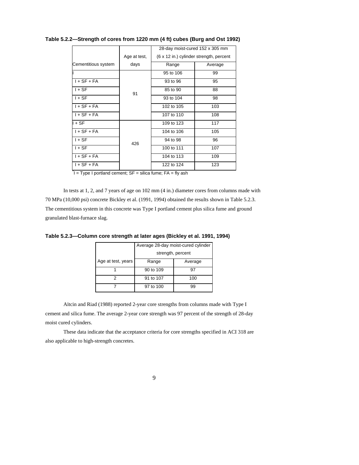|                     |              | 28-day moist-cured 152 x 305 mm         |         |  |
|---------------------|--------------|-----------------------------------------|---------|--|
|                     | Age at test, | (6 x 12 in.) cylinder strength, percent |         |  |
| Cementitious system | days         | Range                                   | Average |  |
|                     |              | 95 to 106                               | 99      |  |
| $I + SF + FA$       |              | 93 to 96                                | 95      |  |
| $1 + SF$            | 91           | 85 to 90                                | 88      |  |
| $I + SF$            |              | 93 to 104                               | 98      |  |
| $I + SF + FA$       |              | 102 to 105                              | 103     |  |
| $I + SF + FA$       |              | 107 to 110                              | 108     |  |
| l + SF              |              | 109 to 123                              | 117     |  |
| $I + SF + FA$       |              | 104 to 106                              | 105     |  |
| $I + SF$            | 426          | 94 to 98                                | 96      |  |
| $I + SF$            |              | 100 to 111                              | 107     |  |
| $I + SF + FA$       |              | 104 to 113                              | 109     |  |
| $I + SF + FA$       |              | 122 to 124                              | 123     |  |
|                     |              |                                         |         |  |

**Table 5.2.2—Strength of cores from 1220 mm (4 ft) cubes (Burg and Ost 1992)** 

 $I = Type I$  portland cement;  $SF = silica$  fume;  $FA = fly$  ash

In tests at 1, 2, and 7 years of age on 102 mm (4 in.) diameter cores from columns made with 70 MPa (10,000 psi) concrete Bickley et al. (1991, 1994) obtained the results shown in Table 5.2.3. The cementitious system in this concrete was Type I portland cement plus silica fume and ground granulated blast-furnace slag.

|                    | Average 28-day moist-cured cylinder<br>strength, percent |         |  |
|--------------------|----------------------------------------------------------|---------|--|
| Age at test, years | Range                                                    | Average |  |
|                    | 90 to 109                                                |         |  |
|                    | 91 to 107                                                | 100     |  |

7 97 to 100 99

**Table 5.2.3—Column core strength at later ages (Bickley et al. 1991, 1994)** 

Aïtcin and Riad (1988) reported 2-year core strengths from columns made with Type I cement and silica fume. The average 2-year core strength was 97 percent of the strength of 28-day moist cured cylinders.

These data indicate that the acceptance criteria for core strengths specified in ACI 318 are also applicable to high-strength concretes.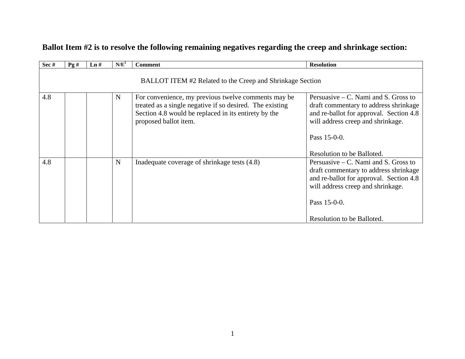| Sec #                                                     | Pg# | $\mathbf{L} \mathbf{n}$ # | N/E <sup>1</sup> | <b>Comment</b>                                                                                                                                                                                   | <b>Resolution</b>                                                                                                                                                                                             |  |
|-----------------------------------------------------------|-----|---------------------------|------------------|--------------------------------------------------------------------------------------------------------------------------------------------------------------------------------------------------|---------------------------------------------------------------------------------------------------------------------------------------------------------------------------------------------------------------|--|
| BALLOT ITEM #2 Related to the Creep and Shrinkage Section |     |                           |                  |                                                                                                                                                                                                  |                                                                                                                                                                                                               |  |
| 4.8                                                       |     |                           | N                | For convenience, my previous twelve comments may be<br>treated as a single negative if so desired. The existing<br>Section 4.8 would be replaced in its entirety by the<br>proposed ballot item. | Persuasive $-$ C. Nami and S. Gross to<br>draft commentary to address shrinkage<br>and re-ballot for approval. Section 4.8<br>will address creep and shrinkage.<br>Pass 15-0-0.<br>Resolution to be Balloted. |  |
| 4.8                                                       |     |                           | $\mathbf N$      | Inadequate coverage of shrinkage tests (4.8)                                                                                                                                                     | Persuasive $-$ C. Nami and S. Gross to<br>draft commentary to address shrinkage<br>and re-ballot for approval. Section 4.8<br>will address creep and shrinkage.<br>Pass 15-0-0.<br>Resolution to be Balloted. |  |

# **Ballot Item #2 is to resolve the following remaining negatives regarding the creep and shrinkage section:**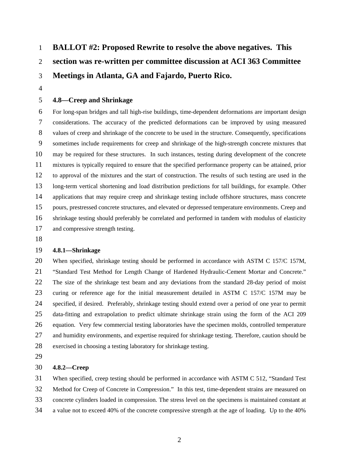# 1 **BALLOT #2: Proposed Rewrite to resolve the above negatives. This**  2 **section was re-written per committee discussion at ACI 363 Committee**  3 **Meetings in Atlanta, GA and Fajardo, Puerto Rico.**

4

## 5 **4.8—Creep and Shrinkage**

6 For long-span bridges and tall high-rise buildings, time-dependent deformations are important design 7 considerations. The accuracy of the predicted deformations can be improved by using measured 8 values of creep and shrinkage of the concrete to be used in the structure. Consequently, specifications 9 sometimes include requirements for creep and shrinkage of the high-strength concrete mixtures that 10 may be required for these structures. In such instances, testing during development of the concrete 11 mixtures is typically required to ensure that the specified performance property can be attained, prior 12 to approval of the mixtures and the start of construction. The results of such testing are used in the 13 long-term vertical shortening and load distribution predictions for tall buildings, for example. Other 14 applications that may require creep and shrinkage testing include offshore structures, mass concrete 15 pours, prestressed concrete structures, and elevated or depressed temperature environments. Creep and 16 shrinkage testing should preferably be correlated and performed in tandem with modulus of elasticity 17 and compressive strength testing.

18

### 19 **4.8.1—Shrinkage**

20 When specified, shrinkage testing should be performed in accordance with ASTM C 157/C 157M, 21 "Standard Test Method for Length Change of Hardened Hydraulic-Cement Mortar and Concrete." 22 The size of the shrinkage test beam and any deviations from the standard 28-day period of moist 23 curing or reference age for the initial measurement detailed in ASTM C 157/C 157M may be 24 specified, if desired. Preferably, shrinkage testing should extend over a period of one year to permit 25 data-fitting and extrapolation to predict ultimate shrinkage strain using the form of the ACI 209 26 equation. Very few commercial testing laboratories have the specimen molds, controlled temperature 27 and humidity environments, and expertise required for shrinkage testing. Therefore, caution should be 28 exercised in choosing a testing laboratory for shrinkage testing.

29

#### 30 **4.8.2—Creep**

31 When specified, creep testing should be performed in accordance with ASTM C 512, "Standard Test 32 Method for Creep of Concrete in Compression." In this test, time-dependent strains are measured on 33 concrete cylinders loaded in compression. The stress level on the specimens is maintained constant at 34 a value not to exceed 40% of the concrete compressive strength at the age of loading. Up to the 40%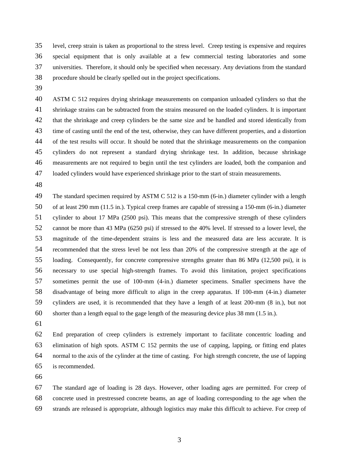35 level, creep strain is taken as proportional to the stress level. Creep testing is expensive and requires 36 special equipment that is only available at a few commercial testing laboratories and some 37 universities. Therefore, it should only be specified when necessary. Any deviations from the standard 38 procedure should be clearly spelled out in the project specifications.

39

40 ASTM C 512 requires drying shrinkage measurements on companion unloaded cylinders so that the 41 shrinkage strains can be subtracted from the strains measured on the loaded cylinders. It is important 42 that the shrinkage and creep cylinders be the same size and be handled and stored identically from 43 time of casting until the end of the test, otherwise, they can have different properties, and a distortion 44 of the test results will occur. It should be noted that the shrinkage measurements on the companion 45 cylinders do not represent a standard drying shrinkage test. In addition, because shrinkage 46 measurements are not required to begin until the test cylinders are loaded, both the companion and 47 loaded cylinders would have experienced shrinkage prior to the start of strain measurements.

48

49 The standard specimen required by ASTM C 512 is a 150-mm (6-in.) diameter cylinder with a length 50 of at least 290 mm (11.5 in.). Typical creep frames are capable of stressing a 150-mm (6-in.) diameter 51 cylinder to about 17 MPa (2500 psi). This means that the compressive strength of these cylinders 52 cannot be more than 43 MPa (6250 psi) if stressed to the 40% level. If stressed to a lower level, the 53 magnitude of the time-dependent strains is less and the measured data are less accurate. It is 54 recommended that the stress level be not less than 20% of the compressive strength at the age of 55 loading. Consequently, for concrete compressive strengths greater than 86 MPa (12,500 psi), it is 56 necessary to use special high-strength frames. To avoid this limitation, project specifications 57 sometimes permit the use of 100-mm (4-in.) diameter specimens. Smaller specimens have the 58 disadvantage of being more difficult to align in the creep apparatus. If 100-mm (4-in.) diameter 59 cylinders are used, it is recommended that they have a length of at least 200-mm (8 in.), but not 60 shorter than a length equal to the gage length of the measuring device plus 38 mm (1.5 in.).

61

62 End preparation of creep cylinders is extremely important to facilitate concentric loading and 63 elimination of high spots. ASTM C 152 permits the use of capping, lapping, or fitting end plates 64 normal to the axis of the cylinder at the time of casting. For high strength concrete, the use of lapping 65 is recommended.

66

67 The standard age of loading is 28 days. However, other loading ages are permitted. For creep of 68 concrete used in prestressed concrete beams, an age of loading corresponding to the age when the 69 strands are released is appropriate, although logistics may make this difficult to achieve. For creep of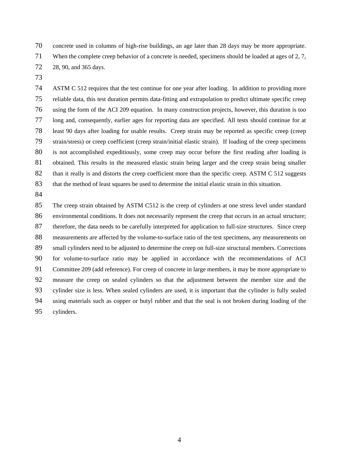70 concrete used in columns of high-rise buildings, an age later than 28 days may be more appropriate.

- 71 When the complete creep behavior of a concrete is needed, specimens should be loaded at ages of 2, 7,
- 72 28, 90, and 365 days.
- 73

74 ASTM C 512 requires that the test continue for one year after loading. In addition to providing more 75 reliable data, this test duration permits data-fitting and extrapolation to predict ultimate specific creep 76 using the form of the ACI 209 equation. In many construction projects, however, this duration is too 77 long and, consequently, earlier ages for reporting data are specified. All tests should continue for at 78 least 90 days after loading for usable results. Creep strain may be reported as specific creep (creep 79 strain/stress) or creep coefficient (creep strain/initial elastic strain). If loading of the creep specimens 80 is not accomplished expeditiously, some creep may occur before the first reading after loading is 81 obtained. This results in the measured elastic strain being larger and the creep strain being smaller 82 than it really is and distorts the creep coefficient more than the specific creep. ASTM C 512 suggests 83 that the method of least squares be used to determine the initial elastic strain in this situation.

84

85 The creep strain obtained by ASTM C512 is the creep of cylinders at one stress level under standard 86 environmental conditions. It does not necessarily represent the creep that occurs in an actual structure; 87 therefore, the data needs to be carefully interpreted for application to full-size structures. Since creep 88 measurements are affected by the volume-to-surface ratio of the test specimens, any measurements on 89 small cylinders need to be adjusted to determine the creep on full-size structural members. Corrections 90 for volume-to-surface ratio may be applied in accordance with the recommendations of ACI 91 Committee 209 (add reference). For creep of concrete in large members, it may be more appropriate to 92 measure the creep on sealed cylinders so that the adjustment between the member size and the 93 cylinder size is less. When sealed cylinders are used, it is important that the cylinder is fully sealed 94 using materials such as copper or butyl rubber and that the seal is not broken during loading of the 95 cylinders.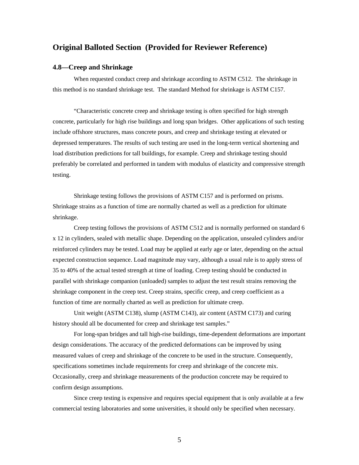# **Original Balloted Section (Provided for Reviewer Reference)**

#### **4.8—Creep and Shrinkage**

When requested conduct creep and shrinkage according to ASTM C512. The shrinkage in this method is no standard shrinkage test. The standard Method for shrinkage is ASTM C157.

"Characteristic concrete creep and shrinkage testing is often specified for high strength concrete, particularly for high rise buildings and long span bridges. Other applications of such testing include offshore structures, mass concrete pours, and creep and shrinkage testing at elevated or depressed temperatures. The results of such testing are used in the long-term vertical shortening and load distribution predictions for tall buildings, for example. Creep and shrinkage testing should preferably be correlated and performed in tandem with modulus of elasticity and compressive strength testing.

Shrinkage testing follows the provisions of ASTM C157 and is performed on prisms. Shrinkage strains as a function of time are normally charted as well as a prediction for ultimate shrinkage.

Creep testing follows the provisions of ASTM C512 and is normally performed on standard 6 x 12 in cylinders, sealed with metallic shape. Depending on the application, unsealed cylinders and/or reinforced cylinders may be tested. Load may be applied at early age or later, depending on the actual expected construction sequence. Load magnitude may vary, although a usual rule is to apply stress of 35 to 40% of the actual tested strength at time of loading. Creep testing should be conducted in parallel with shrinkage companion (unloaded) samples to adjust the test result strains removing the shrinkage component in the creep test. Creep strains, specific creep, and creep coefficient as a function of time are normally charted as well as prediction for ultimate creep.

Unit weight (ASTM C138), slump (ASTM C143), air content (ASTM C173) and curing history should all be documented for creep and shrinkage test samples."

For long-span bridges and tall high-rise buildings, time-dependent deformations are important design considerations. The accuracy of the predicted deformations can be improved by using measured values of creep and shrinkage of the concrete to be used in the structure. Consequently, specifications sometimes include requirements for creep and shrinkage of the concrete mix. Occasionally, creep and shrinkage measurements of the production concrete may be required to confirm design assumptions.

Since creep testing is expensive and requires special equipment that is only available at a few commercial testing laboratories and some universities, it should only be specified when necessary.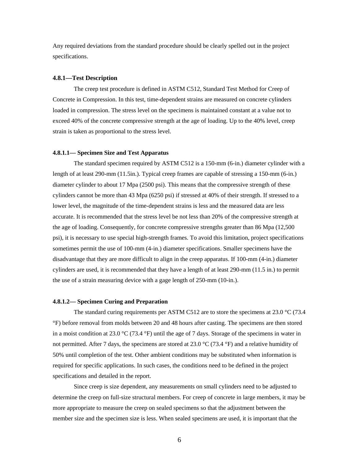Any required deviations from the standard procedure should be clearly spelled out in the project specifications.

#### **4.8.1—Test Description**

The creep test procedure is defined in ASTM C512, Standard Test Method for Creep of Concrete in Compression. In this test, time-dependent strains are measured on concrete cylinders loaded in compression. The stress level on the specimens is maintained constant at a value not to exceed 40% of the concrete compressive strength at the age of loading. Up to the 40% level, creep strain is taken as proportional to the stress level.

#### **4.8.1.1— Specimen Size and Test Apparatus**

The standard specimen required by ASTM C512 is a 150-mm (6-in.) diameter cylinder with a length of at least 290-mm (11.5in.). Typical creep frames are capable of stressing a 150-mm (6-in.) diameter cylinder to about 17 Mpa (2500 psi). This means that the compressive strength of these cylinders cannot be more than 43 Mpa (6250 psi) if stressed at 40% of their strength. If stressed to a lower level, the magnitude of the time-dependent strains is less and the measured data are less accurate. It is recommended that the stress level be not less than 20% of the compressive strength at the age of loading. Consequently, for concrete compressive strengths greater than 86 Mpa (12,500 psi), it is necessary to use special high-strength frames. To avoid this limitation, project specifications sometimes permit the use of 100-mm (4-in.) diameter specifications. Smaller specimens have the disadvantage that they are more difficult to align in the creep apparatus. If 100-mm (4-in.) diameter cylinders are used, it is recommended that they have a length of at least 290-mm (11.5 in.) to permit the use of a strain measuring device with a gage length of 250-mm (10-in.).

#### **4.8.1.2— Specimen Curing and Preparation**

The standard curing requirements per ASTM C512 are to store the specimens at 23.0  $\degree$ C (73.4 °F) before removal from molds between 20 and 48 hours after casting. The specimens are then stored in a moist condition at 23.0 °C (73.4 °F) until the age of 7 days. Storage of the specimens in water in not permitted. After 7 days, the specimens are stored at 23.0  $\rm{^{\circ}C}$  (73.4  $\rm{^{\circ}F}$ ) and a relative humidity of 50% until completion of the test. Other ambient conditions may be substituted when information is required for specific applications. In such cases, the conditions need to be defined in the project specifications and detailed in the report.

Since creep is size dependent, any measurements on small cylinders need to be adjusted to determine the creep on full-size structural members. For creep of concrete in large members, it may be more appropriate to measure the creep on sealed specimens so that the adjustment between the member size and the specimen size is less. When sealed specimens are used, it is important that the

6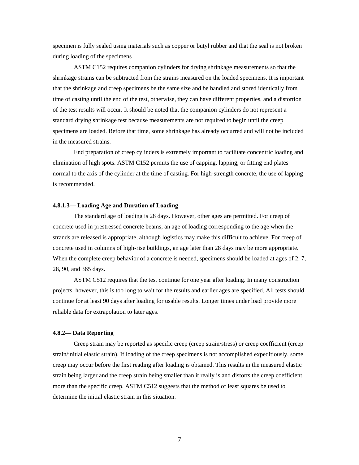specimen is fully sealed using materials such as copper or butyl rubber and that the seal is not broken during loading of the specimens

ASTM C152 requires companion cylinders for drying shrinkage measurements so that the shrinkage strains can be subtracted from the strains measured on the loaded specimens. It is important that the shrinkage and creep specimens be the same size and be handled and stored identically from time of casting until the end of the test, otherwise, they can have different properties, and a distortion of the test results will occur. It should be noted that the companion cylinders do not represent a standard drying shrinkage test because measurements are not required to begin until the creep specimens are loaded. Before that time, some shrinkage has already occurred and will not be included in the measured strains.

End preparation of creep cylinders is extremely important to facilitate concentric loading and elimination of high spots. ASTM C152 permits the use of capping, lapping, or fitting end plates normal to the axis of the cylinder at the time of casting. For high-strength concrete, the use of lapping is recommended.

#### **4.8.1.3— Loading Age and Duration of Loading**

The standard age of loading is 28 days. However, other ages are permitted. For creep of concrete used in prestressed concrete beams, an age of loading corresponding to the age when the strands are released is appropriate, although logistics may make this difficult to achieve. For creep of concrete used in columns of high-rise buildings, an age later than 28 days may be more appropriate. When the complete creep behavior of a concrete is needed, specimens should be loaded at ages of 2, 7, 28, 90, and 365 days.

ASTM C512 requires that the test continue for one year after loading. In many construction projects, however, this is too long to wait for the results and earlier ages are specified. All tests should continue for at least 90 days after loading for usable results. Longer times under load provide more reliable data for extrapolation to later ages.

#### **4.8.2— Data Reporting**

Creep strain may be reported as specific creep (creep strain/stress) or creep coefficient (creep strain/initial elastic strain). If loading of the creep specimens is not accomplished expeditiously, some creep may occur before the first reading after loading is obtained. This results in the measured elastic strain being larger and the creep strain being smaller than it really is and distorts the creep coefficient more than the specific creep. ASTM C512 suggests that the method of least squares be used to determine the initial elastic strain in this situation.